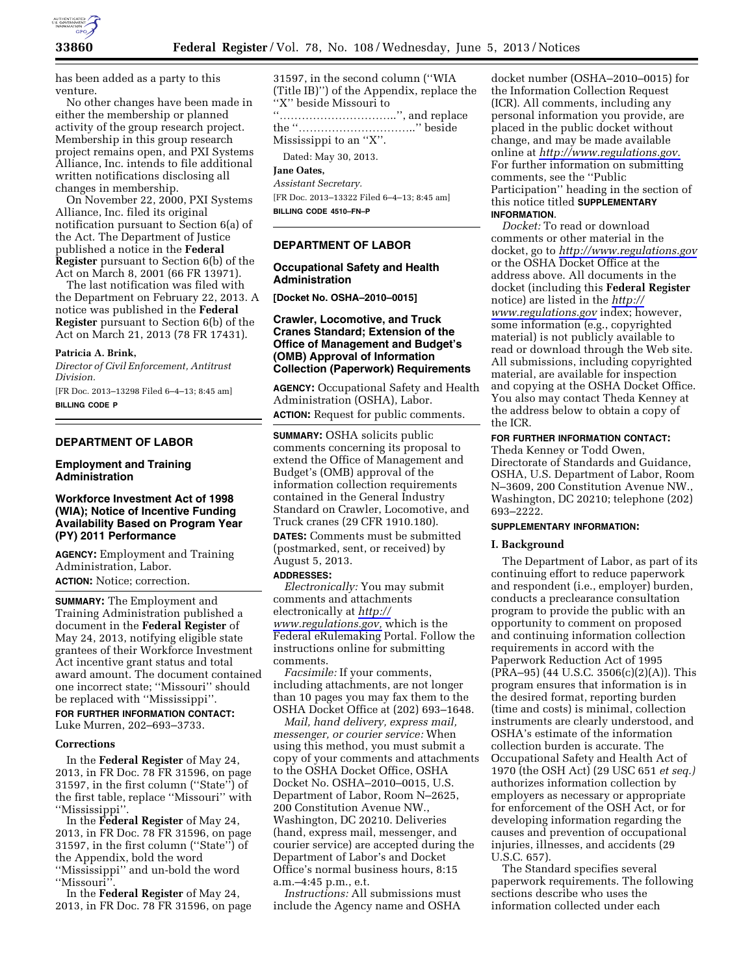

has been added as a party to this venture.

No other changes have been made in either the membership or planned activity of the group research project. Membership in this group research project remains open, and PXI Systems Alliance, Inc. intends to file additional written notifications disclosing all changes in membership.

On November 22, 2000, PXI Systems Alliance, Inc. filed its original notification pursuant to Section 6(a) of the Act. The Department of Justice published a notice in the **Federal Register** pursuant to Section 6(b) of the Act on March 8, 2001 (66 FR 13971).

The last notification was filed with the Department on February 22, 2013. A notice was published in the **Federal Register** pursuant to Section 6(b) of the Act on March 21, 2013 (78 FR 17431).

#### **Patricia A. Brink,**

*Director of Civil Enforcement, Antitrust Division.* 

[FR Doc. 2013–13298 Filed 6–4–13; 8:45 am] **BILLING CODE P** 

## **DEPARTMENT OF LABOR**

### **Employment and Training Administration**

### **Workforce Investment Act of 1998 (WIA); Notice of Incentive Funding Availability Based on Program Year (PY) 2011 Performance**

**AGENCY:** Employment and Training Administration, Labor. **ACTION:** Notice; correction.

**SUMMARY:** The Employment and Training Administration published a document in the **Federal Register** of May 24, 2013, notifying eligible state grantees of their Workforce Investment Act incentive grant status and total award amount. The document contained one incorrect state; ''Missouri'' should be replaced with ''Mississippi''.

**FOR FURTHER INFORMATION CONTACT:**  Luke Murren, 202–693–3733.

#### **Corrections**

In the **Federal Register** of May 24, 2013, in FR Doc. 78 FR 31596, on page 31597, in the first column (''State'') of the first table, replace ''Missouri'' with ''Mississippi''.

In the **Federal Register** of May 24, 2013, in FR Doc. 78 FR 31596, on page 31597, in the first column (''State'') of the Appendix, bold the word ''Mississippi'' and un-bold the word ''Missouri''.

In the **Federal Register** of May 24, 2013, in FR Doc. 78 FR 31596, on page

31597, in the second column (''WIA (Title IB)'') of the Appendix, replace the ''X'' beside Missouri to ''…………………………..'', and replace the ''…………………………..'' beside Mississippi to an ''X''.

Dated: May 30, 2013.

# **Jane Oates,**

*Assistant Secretary.*  [FR Doc. 2013–13322 Filed 6–4–13; 8:45 am] **BILLING CODE 4510–FN–P** 

# **DEPARTMENT OF LABOR**

### **Occupational Safety and Health Administration**

**[Docket No. OSHA–2010–0015]** 

## **Crawler, Locomotive, and Truck Cranes Standard; Extension of the Office of Management and Budget's (OMB) Approval of Information Collection (Paperwork) Requirements**

**AGENCY:** Occupational Safety and Health Administration (OSHA), Labor. **ACTION:** Request for public comments.

**SUMMARY:** OSHA solicits public comments concerning its proposal to extend the Office of Management and Budget's (OMB) approval of the information collection requirements contained in the General Industry Standard on Crawler, Locomotive, and Truck cranes (29 CFR 1910.180).

**DATES:** Comments must be submitted (postmarked, sent, or received) by August 5, 2013.

#### **ADDRESSES:**

*Electronically:* You may submit comments and attachments electronically at *[http://](http://www.regulations.gov) [www.regulations.gov,](http://www.regulations.gov)* which is the Federal eRulemaking Portal. Follow the instructions online for submitting comments.

*Facsimile:* If your comments, including attachments, are not longer than 10 pages you may fax them to the OSHA Docket Office at (202) 693–1648.

*Mail, hand delivery, express mail, messenger, or courier service:* When using this method, you must submit a copy of your comments and attachments to the OSHA Docket Office, OSHA Docket No. OSHA–2010–0015, U.S. Department of Labor, Room N–2625, 200 Constitution Avenue NW., Washington, DC 20210. Deliveries (hand, express mail, messenger, and courier service) are accepted during the Department of Labor's and Docket Office's normal business hours, 8:15 a.m.–4:45 p.m., e.t.

*Instructions:* All submissions must include the Agency name and OSHA

docket number (OSHA–2010–0015) for the Information Collection Request (ICR). All comments, including any personal information you provide, are placed in the public docket without change, and may be made available online at *[http://www.regulations.gov.](http://www.regulations.gov)*  For further information on submitting comments, see the ''Public Participation'' heading in the section of this notice titled **SUPPLEMENTARY INFORMATION**.

*Docket:* To read or download comments or other material in the docket, go to *<http://www.regulations.gov>*  or the OSHA Docket Office at the address above. All documents in the docket (including this **Federal Register**  notice) are listed in the *[http://](http://www.regulations.gov) [www.regulations.gov](http://www.regulations.gov)* index; however, some information (e.g., copyrighted material) is not publicly available to read or download through the Web site. All submissions, including copyrighted material, are available for inspection and copying at the OSHA Docket Office. You also may contact Theda Kenney at the address below to obtain a copy of the ICR.

# **FOR FURTHER INFORMATION CONTACT:**

Theda Kenney or Todd Owen, Directorate of Standards and Guidance, OSHA, U.S. Department of Labor, Room N–3609, 200 Constitution Avenue NW., Washington, DC 20210; telephone (202) 693–2222.

### **SUPPLEMENTARY INFORMATION:**

#### **I. Background**

The Department of Labor, as part of its continuing effort to reduce paperwork and respondent (i.e., employer) burden, conducts a preclearance consultation program to provide the public with an opportunity to comment on proposed and continuing information collection requirements in accord with the Paperwork Reduction Act of 1995 (PRA–95) (44 U.S.C. 3506(c)(2)(A)). This program ensures that information is in the desired format, reporting burden (time and costs) is minimal, collection instruments are clearly understood, and OSHA's estimate of the information collection burden is accurate. The Occupational Safety and Health Act of 1970 (the OSH Act) (29 USC 651 *et seq.)*  authorizes information collection by employers as necessary or appropriate for enforcement of the OSH Act, or for developing information regarding the causes and prevention of occupational injuries, illnesses, and accidents (29 U.S.C. 657).

The Standard specifies several paperwork requirements. The following sections describe who uses the information collected under each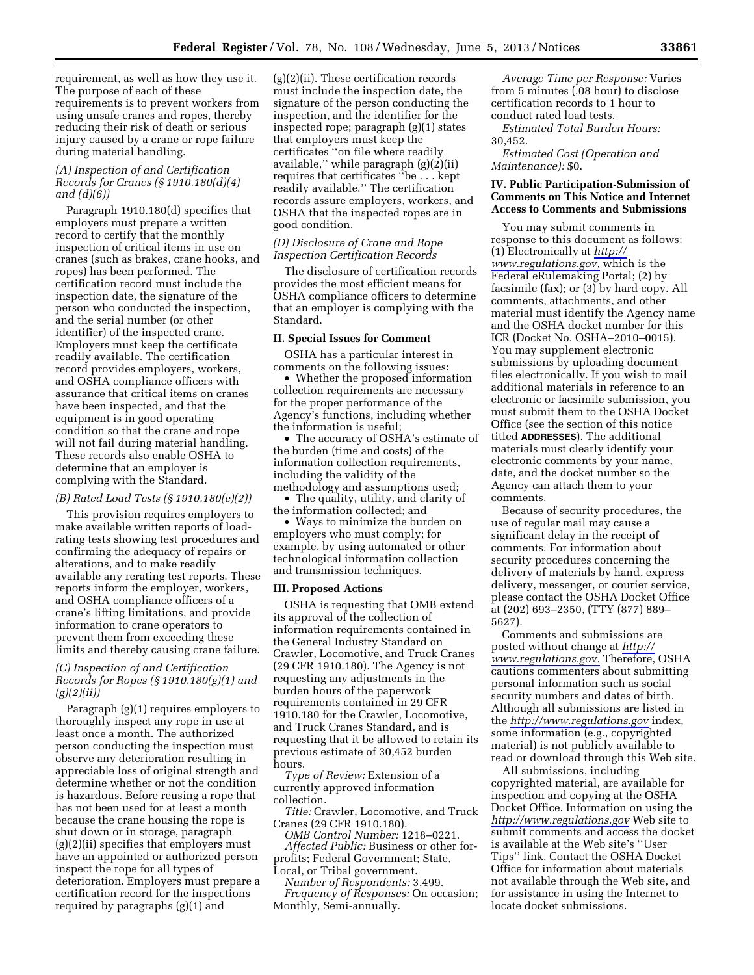requirement, as well as how they use it. The purpose of each of these requirements is to prevent workers from using unsafe cranes and ropes, thereby reducing their risk of death or serious injury caused by a crane or rope failure during material handling.

### *(A) Inspection of and Certification Records for Cranes (§ 1910.180(d)(4) and (d)(6))*

Paragraph 1910.180(d) specifies that employers must prepare a written record to certify that the monthly inspection of critical items in use on cranes (such as brakes, crane hooks, and ropes) has been performed. The certification record must include the inspection date, the signature of the person who conducted the inspection, and the serial number (or other identifier) of the inspected crane. Employers must keep the certificate readily available. The certification record provides employers, workers, and OSHA compliance officers with assurance that critical items on cranes have been inspected, and that the equipment is in good operating condition so that the crane and rope will not fail during material handling. These records also enable OSHA to determine that an employer is complying with the Standard.

### *(B) Rated Load Tests (§ 1910.180(e)(2))*

This provision requires employers to make available written reports of loadrating tests showing test procedures and confirming the adequacy of repairs or alterations, and to make readily available any rerating test reports. These reports inform the employer, workers, and OSHA compliance officers of a crane's lifting limitations, and provide information to crane operators to prevent them from exceeding these limits and thereby causing crane failure.

### *(C) Inspection of and Certification Records for Ropes (§ 1910.180(g)(1) and (g)(2)(ii))*

Paragraph (g)(1) requires employers to thoroughly inspect any rope in use at least once a month. The authorized person conducting the inspection must observe any deterioration resulting in appreciable loss of original strength and determine whether or not the condition is hazardous. Before reusing a rope that has not been used for at least a month because the crane housing the rope is shut down or in storage, paragraph (g)(2)(ii) specifies that employers must have an appointed or authorized person inspect the rope for all types of deterioration. Employers must prepare a certification record for the inspections required by paragraphs (g)(1) and

(g)(2)(ii). These certification records must include the inspection date, the signature of the person conducting the inspection, and the identifier for the inspected rope; paragraph (g)(1) states that employers must keep the certificates ''on file where readily available,'' while paragraph (g)(2)(ii) requires that certificates ''be . . . kept readily available.'' The certification records assure employers, workers, and OSHA that the inspected ropes are in good condition.

# *(D) Disclosure of Crane and Rope Inspection Certification Records*

The disclosure of certification records provides the most efficient means for OSHA compliance officers to determine that an employer is complying with the Standard.

#### **II. Special Issues for Comment**

OSHA has a particular interest in comments on the following issues:

• Whether the proposed information collection requirements are necessary for the proper performance of the Agency's functions, including whether the information is useful;

• The accuracy of OSHA's estimate of the burden (time and costs) of the information collection requirements, including the validity of the methodology and assumptions used;

• The quality, utility, and clarity of the information collected; and

• Ways to minimize the burden on employers who must comply; for example, by using automated or other technological information collection and transmission techniques.

#### **III. Proposed Actions**

OSHA is requesting that OMB extend its approval of the collection of information requirements contained in the General Industry Standard on Crawler, Locomotive, and Truck Cranes (29 CFR 1910.180). The Agency is not requesting any adjustments in the burden hours of the paperwork requirements contained in 29 CFR 1910.180 for the Crawler, Locomotive, and Truck Cranes Standard, and is requesting that it be allowed to retain its previous estimate of 30,452 burden hours.

*Type of Review:* Extension of a currently approved information collection.

*Title:* Crawler, Locomotive, and Truck Cranes (29 CFR 1910.180).

*OMB Control Number:* 1218–0221. *Affected Public:* Business or other forprofits; Federal Government; State, Local, or Tribal government.

*Number of Respondents:* 3,499. *Frequency of Responses:* On occasion; Monthly, Semi-annually.

*Average Time per Response:* Varies from 5 minutes (.08 hour) to disclose certification records to 1 hour to conduct rated load tests.

*Estimated Total Burden Hours:*  30,452.

*Estimated Cost (Operation and Maintenance):* \$0.

### **IV. Public Participation-Submission of Comments on This Notice and Internet Access to Comments and Submissions**

You may submit comments in response to this document as follows: (1) Electronically at *[http://](http://www.regulations.gov)  [www.regulations.gov,](http://www.regulations.gov)* which is the Federal eRulemaking Portal; (2) by facsimile (fax); or (3) by hard copy. All comments, attachments, and other material must identify the Agency name and the OSHA docket number for this ICR (Docket No. OSHA–2010–0015). You may supplement electronic submissions by uploading document files electronically. If you wish to mail additional materials in reference to an electronic or facsimile submission, you must submit them to the OSHA Docket Office (see the section of this notice titled **ADDRESSES**). The additional materials must clearly identify your electronic comments by your name, date, and the docket number so the Agency can attach them to your comments.

Because of security procedures, the use of regular mail may cause a significant delay in the receipt of comments. For information about security procedures concerning the delivery of materials by hand, express delivery, messenger, or courier service, please contact the OSHA Docket Office at (202) 693–2350, (TTY (877) 889– 5627).

Comments and submissions are posted without change at *[http://](http://www.regulations.gov)  [www.regulations.gov.](http://www.regulations.gov)* Therefore, OSHA cautions commenters about submitting personal information such as social security numbers and dates of birth. Although all submissions are listed in the *<http://www.regulations.gov>*index, some information (e.g., copyrighted material) is not publicly available to read or download through this Web site.

All submissions, including copyrighted material, are available for inspection and copying at the OSHA Docket Office. Information on using the *<http://www.regulations.gov>* Web site to submit comments and access the docket is available at the Web site's ''User Tips'' link. Contact the OSHA Docket Office for information about materials not available through the Web site, and for assistance in using the Internet to locate docket submissions.